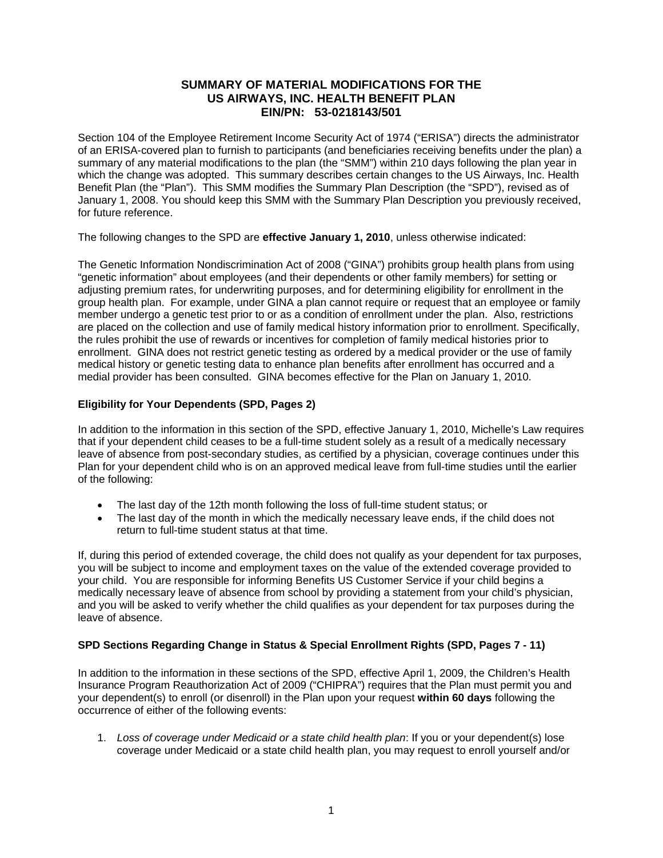# **SUMMARY OF MATERIAL MODIFICATIONS FOR THE US AIRWAYS, INC. HEALTH BENEFIT PLAN EIN/PN: 53-0218143/501**

Section 104 of the Employee Retirement Income Security Act of 1974 ("ERISA") directs the administrator of an ERISA-covered plan to furnish to participants (and beneficiaries receiving benefits under the plan) a summary of any material modifications to the plan (the "SMM") within 210 days following the plan year in which the change was adopted. This summary describes certain changes to the US Airways, Inc. Health Benefit Plan (the "Plan"). This SMM modifies the Summary Plan Description (the "SPD"), revised as of January 1, 2008. You should keep this SMM with the Summary Plan Description you previously received, for future reference.

The following changes to the SPD are **effective January 1, 2010**, unless otherwise indicated:

The Genetic Information Nondiscrimination Act of 2008 ("GINA") prohibits group health plans from using "genetic information" about employees (and their dependents or other family members) for setting or adjusting premium rates, for underwriting purposes, and for determining eligibility for enrollment in the group health plan. For example, under GINA a plan cannot require or request that an employee or family member undergo a genetic test prior to or as a condition of enrollment under the plan. Also, restrictions are placed on the collection and use of family medical history information prior to enrollment. Specifically, the rules prohibit the use of rewards or incentives for completion of family medical histories prior to enrollment. GINA does not restrict genetic testing as ordered by a medical provider or the use of family medical history or genetic testing data to enhance plan benefits after enrollment has occurred and a medial provider has been consulted. GINA becomes effective for the Plan on January 1, 2010.

# **Eligibility for Your Dependents (SPD, Pages 2)**

In addition to the information in this section of the SPD, effective January 1, 2010, Michelle's Law requires that if your dependent child ceases to be a full-time student solely as a result of a medically necessary leave of absence from post-secondary studies, as certified by a physician, coverage continues under this Plan for your dependent child who is on an approved medical leave from full-time studies until the earlier of the following:

- The last day of the 12th month following the loss of full-time student status; or
- The last day of the month in which the medically necessary leave ends, if the child does not return to full-time student status at that time.

If, during this period of extended coverage, the child does not qualify as your dependent for tax purposes, you will be subject to income and employment taxes on the value of the extended coverage provided to your child. You are responsible for informing Benefits US Customer Service if your child begins a medically necessary leave of absence from school by providing a statement from your child's physician, and you will be asked to verify whether the child qualifies as your dependent for tax purposes during the leave of absence.

# **SPD Sections Regarding Change in Status & Special Enrollment Rights (SPD, Pages 7 - 11)**

In addition to the information in these sections of the SPD, effective April 1, 2009, the Children's Health Insurance Program Reauthorization Act of 2009 ("CHIPRA") requires that the Plan must permit you and your dependent(s) to enroll (or disenroll) in the Plan upon your request **within 60 days** following the occurrence of either of the following events:

1. *Loss of coverage under Medicaid or a state child health plan*: If you or your dependent(s) lose coverage under Medicaid or a state child health plan, you may request to enroll yourself and/or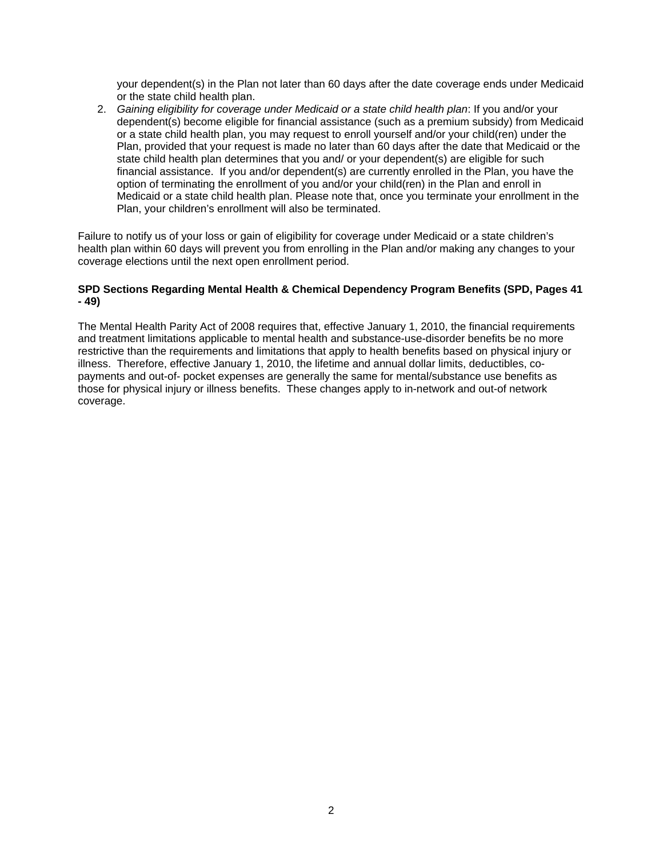your dependent(s) in the Plan not later than 60 days after the date coverage ends under Medicaid or the state child health plan.

2. *Gaining eligibility for coverage under Medicaid or a state child health plan*: If you and/or your dependent(s) become eligible for financial assistance (such as a premium subsidy) from Medicaid or a state child health plan, you may request to enroll yourself and/or your child(ren) under the Plan, provided that your request is made no later than 60 days after the date that Medicaid or the state child health plan determines that you and/ or your dependent(s) are eligible for such financial assistance. If you and/or dependent(s) are currently enrolled in the Plan, you have the option of terminating the enrollment of you and/or your child(ren) in the Plan and enroll in Medicaid or a state child health plan. Please note that, once you terminate your enrollment in the Plan, your children's enrollment will also be terminated.

Failure to notify us of your loss or gain of eligibility for coverage under Medicaid or a state children's health plan within 60 days will prevent you from enrolling in the Plan and/or making any changes to your coverage elections until the next open enrollment period.

# **SPD Sections Regarding Mental Health & Chemical Dependency Program Benefits (SPD, Pages 41 - 49)**

The Mental Health Parity Act of 2008 requires that, effective January 1, 2010, the financial requirements and treatment limitations applicable to mental health and substance-use-disorder benefits be no more restrictive than the requirements and limitations that apply to health benefits based on physical injury or illness. Therefore, effective January 1, 2010, the lifetime and annual dollar limits, deductibles, copayments and out-of- pocket expenses are generally the same for mental/substance use benefits as those for physical injury or illness benefits. These changes apply to in-network and out-of network coverage.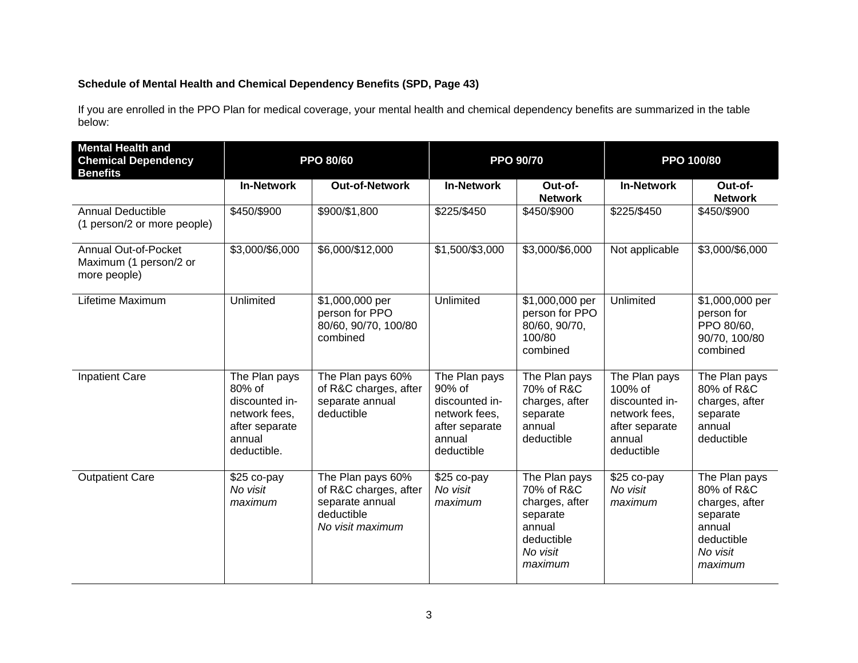# **Schedule of Mental Health and Chemical Dependency Benefits (SPD, Page 43)**

If you are enrolled in the PPO Plan for medical coverage, your mental health and chemical dependency benefits are summarized in the table below:

| <b>Mental Health and</b>                                              |                                                                                                       |                                                                                                 |                                                                                                      |                                                                                                          |                                                                                                       |                                                                                                          |
|-----------------------------------------------------------------------|-------------------------------------------------------------------------------------------------------|-------------------------------------------------------------------------------------------------|------------------------------------------------------------------------------------------------------|----------------------------------------------------------------------------------------------------------|-------------------------------------------------------------------------------------------------------|----------------------------------------------------------------------------------------------------------|
| <b>Chemical Dependency</b><br><b>Benefits</b>                         | <b>PPO 80/60</b>                                                                                      |                                                                                                 | <b>PPO 90/70</b>                                                                                     |                                                                                                          | PPO 100/80                                                                                            |                                                                                                          |
|                                                                       | <b>In-Network</b>                                                                                     | <b>Out-of-Network</b>                                                                           | <b>In-Network</b>                                                                                    | Out-of-<br><b>Network</b>                                                                                | <b>In-Network</b>                                                                                     | Out-of-<br><b>Network</b>                                                                                |
| <b>Annual Deductible</b><br>(1 person/2 or more people)               | \$450/\$900                                                                                           | \$900/\$1,800                                                                                   | \$225/\$450                                                                                          | \$450/\$900                                                                                              | \$225/\$450                                                                                           | \$450/\$900                                                                                              |
| <b>Annual Out-of-Pocket</b><br>Maximum (1 person/2 or<br>more people) | \$3,000/\$6,000                                                                                       | \$6,000/\$12,000                                                                                | \$1,500/\$3,000                                                                                      | \$3,000/\$6,000                                                                                          | Not applicable                                                                                        | \$3,000/\$6,000                                                                                          |
| Lifetime Maximum                                                      | Unlimited                                                                                             | \$1,000,000 per<br>person for PPO<br>80/60, 90/70, 100/80<br>combined                           | Unlimited                                                                                            | \$1,000,000 per<br>person for PPO<br>80/60, 90/70,<br>100/80<br>combined                                 | Unlimited                                                                                             | \$1,000,000 per<br>person for<br>PPO 80/60.<br>90/70, 100/80<br>combined                                 |
| <b>Inpatient Care</b>                                                 | The Plan pays<br>80% of<br>discounted in-<br>network fees,<br>after separate<br>annual<br>deductible. | The Plan pays 60%<br>of R&C charges, after<br>separate annual<br>deductible                     | The Plan pays<br>90% of<br>discounted in-<br>network fees,<br>after separate<br>annual<br>deductible | The Plan pays<br>70% of R&C<br>charges, after<br>separate<br>annual<br>deductible                        | The Plan pays<br>100% of<br>discounted in-<br>network fees,<br>after separate<br>annual<br>deductible | The Plan pays<br>80% of R&C<br>charges, after<br>separate<br>annual<br>deductible                        |
| <b>Outpatient Care</b>                                                | \$25 co-pay<br>No visit<br>maximum                                                                    | The Plan pays 60%<br>of R&C charges, after<br>separate annual<br>deductible<br>No visit maximum | \$25 co-pay<br>No visit<br>maximum                                                                   | The Plan pays<br>70% of R&C<br>charges, after<br>separate<br>annual<br>deductible<br>No visit<br>maximum | \$25 co-pay<br>No visit<br>maximum                                                                    | The Plan pays<br>80% of R&C<br>charges, after<br>separate<br>annual<br>deductible<br>No visit<br>maximum |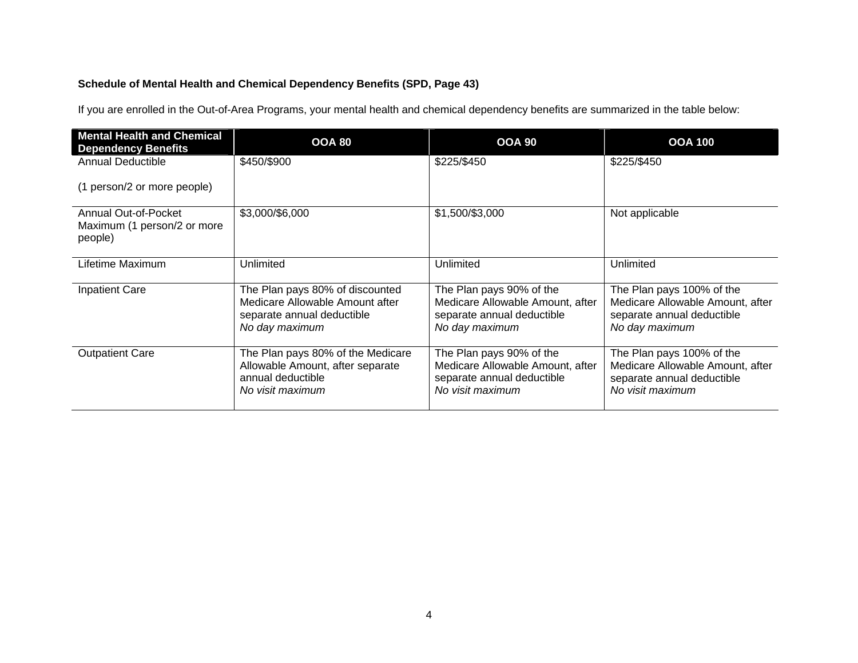# **Schedule of Mental Health and Chemical Dependency Benefits (SPD, Page 43)**

If you are enrolled in the Out-of-Area Programs, your mental health and chemical dependency benefits are summarized in the table below:

| <b>Mental Health and Chemical</b><br><b>Dependency Benefits</b> | <b>OOA 80</b>                                                                                                      | <b>OOA 90</b>                                                                                                  | <b>OOA 100</b>                                                                                                  |
|-----------------------------------------------------------------|--------------------------------------------------------------------------------------------------------------------|----------------------------------------------------------------------------------------------------------------|-----------------------------------------------------------------------------------------------------------------|
| <b>Annual Deductible</b>                                        | \$450/\$900                                                                                                        | \$225/\$450                                                                                                    | \$225/\$450                                                                                                     |
| (1 person/2 or more people)                                     |                                                                                                                    |                                                                                                                |                                                                                                                 |
| Annual Out-of-Pocket<br>Maximum (1 person/2 or more<br>people)  | \$3,000/\$6,000                                                                                                    | \$1,500/\$3,000                                                                                                | Not applicable                                                                                                  |
| Lifetime Maximum                                                | Unlimited                                                                                                          | Unlimited                                                                                                      | Unlimited                                                                                                       |
| <b>Inpatient Care</b>                                           | The Plan pays 80% of discounted<br>Medicare Allowable Amount after<br>separate annual deductible<br>No day maximum | The Plan pays 90% of the<br>Medicare Allowable Amount, after<br>separate annual deductible<br>No day maximum   | The Plan pays 100% of the<br>Medicare Allowable Amount, after<br>separate annual deductible<br>No day maximum   |
| <b>Outpatient Care</b>                                          | The Plan pays 80% of the Medicare<br>Allowable Amount, after separate<br>annual deductible<br>No visit maximum     | The Plan pays 90% of the<br>Medicare Allowable Amount, after<br>separate annual deductible<br>No visit maximum | The Plan pays 100% of the<br>Medicare Allowable Amount, after<br>separate annual deductible<br>No visit maximum |